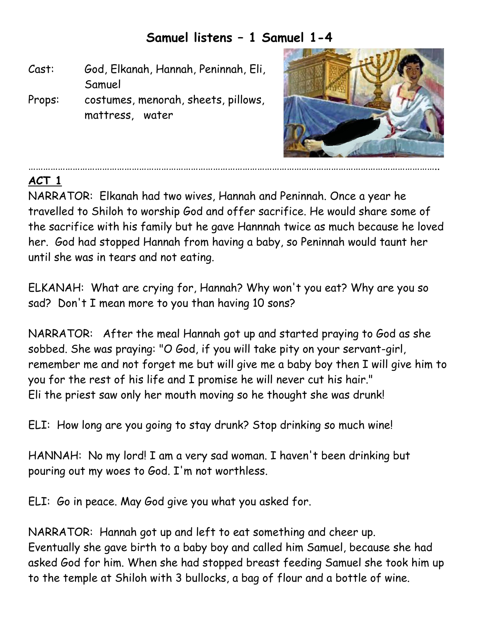## **Samuel listens – 1 Samuel 1-4**

- Cast: God, Elkanah, Hannah, Peninnah, Eli, Samuel
- Props: costumes, menorah, sheets, pillows, mattress, water



## **ACT 1**

NARRATOR: Elkanah had two wives, Hannah and Peninnah. Once a year he travelled to Shiloh to worship God and offer sacrifice. He would share some of the sacrifice with his family but he gave Hannnah twice as much because he loved her. God had stopped Hannah from having a baby, so Peninnah would taunt her until she was in tears and not eating.

…………………………………………………………………………………………………………………………………………………..

ELKANAH: What are crying for, Hannah? Why won't you eat? Why are you so sad? Don't I mean more to you than having 10 sons?

NARRATOR: After the meal Hannah got up and started praying to God as she sobbed. She was praying: "O God, if you will take pity on your servant-girl, remember me and not forget me but will give me a baby boy then I will give him to you for the rest of his life and I promise he will never cut his hair." Eli the priest saw only her mouth moving so he thought she was drunk!

ELI: How long are you going to stay drunk? Stop drinking so much wine!

HANNAH: No my lord! I am a very sad woman. I haven't been drinking but pouring out my woes to God. I'm not worthless.

ELI: Go in peace. May God give you what you asked for.

NARRATOR: Hannah got up and left to eat something and cheer up. Eventually she gave birth to a baby boy and called him Samuel, because she had asked God for him. When she had stopped breast feeding Samuel she took him up to the temple at Shiloh with 3 bullocks, a bag of flour and a bottle of wine.